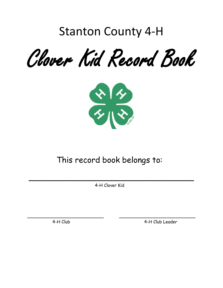## Stanton County 4-H





## This record book belongs to:

4-H Clover Kid

\_\_\_\_\_\_\_\_\_\_\_\_\_\_\_\_\_\_\_\_\_\_\_\_\_\_\_\_\_\_\_\_\_

**\_\_\_\_\_\_\_\_\_\_\_\_\_\_\_\_\_\_\_\_\_\_\_\_\_\_\_\_ \_\_\_\_\_\_\_\_\_\_\_\_\_\_\_\_\_\_\_\_\_\_\_\_\_\_\_\_**

4-H Club 4-H Club Leader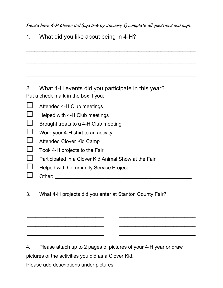Please have 4-H Clover Kid (age 5-& by January 1) complete all questions and sign.

**\_\_\_\_\_\_\_\_\_\_\_\_\_\_\_\_\_\_\_\_\_\_\_\_\_\_\_\_\_\_\_\_\_\_\_\_\_\_\_\_\_\_\_\_\_\_\_\_\_\_\_\_\_\_\_\_\_\_\_\_\_\_**

| $\mathbf 1$ . |  |  | What did you like about being in 4-H? |
|---------------|--|--|---------------------------------------|
|---------------|--|--|---------------------------------------|

| 2.     | What 4-H events did you participate in this year?<br>Put a check mark in the box if you:             |
|--------|------------------------------------------------------------------------------------------------------|
| $\Box$ | Attended 4-H Club meetings<br>Helped with 4-H Club meetings                                          |
| $\Box$ | Brought treats to a 4-H Club meeting<br>Wore your 4-H shirt to an activity                           |
|        | Attended Clover Kid Camp<br>Took 4-H projects to the Fair                                            |
|        | Participated in a Clover Kid Animal Show at the Fair<br><b>Helped with Community Service Project</b> |
|        | Other:                                                                                               |

3. What 4-H projects did you enter at Stanton County Fair?

**\_\_\_\_\_\_\_\_\_\_\_\_\_\_\_\_\_\_\_\_\_\_\_\_\_\_\_\_ \_\_\_\_\_\_\_\_\_\_\_\_\_\_\_\_\_\_\_\_\_\_\_\_\_\_\_\_**

4. Please attach up to 2 pages of pictures of your 4-H year or draw pictures of the activities you did as a Clover Kid.

**\_\_\_\_\_\_\_\_\_\_\_\_\_\_\_\_\_\_\_\_\_\_\_\_\_\_\_\_ \_\_\_\_\_\_\_\_\_\_\_\_\_\_\_\_\_\_\_\_\_\_\_\_\_\_\_\_**

**\_\_\_\_\_\_\_\_\_\_\_\_\_\_\_\_\_\_\_\_\_\_\_\_\_\_\_\_ \_\_\_\_\_\_\_\_\_\_\_\_\_\_\_\_\_\_\_\_\_\_\_\_\_\_\_\_**

**\_\_\_\_\_\_\_\_\_\_\_\_\_\_\_\_\_\_\_\_\_\_\_\_\_\_\_\_ \_\_\_\_\_\_\_\_\_\_\_\_\_\_\_\_\_\_\_\_\_\_\_\_\_\_\_\_**

Please add descriptions under pictures.